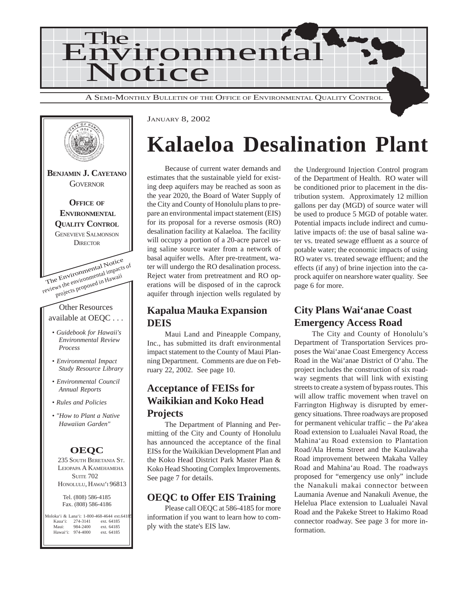



## **Kalaeloa Desalination Plant**

Because of current water demands and estimates that the sustainable yield for existing deep aquifers may be reached as soon as the year 2020, the Board of Water Supply of the City and County of Honolulu plans to prepare an environmental impact statement (EIS) for its proposal for a reverse osmosis (RO) desalination facility at Kalaeloa. The facility will occupy a portion of a 20-acre parcel using saline source water from a network of basal aquifer wells. After pre-treatment, water will undergo the RO desalination process. Reject water from pretreatment and RO operations will be disposed of in the caprock aquifer through injection wells regulated by

## **Kapalua Mauka Expansion DEIS**

Maui Land and Pineapple Company, Inc., has submitted its draft environmental impact statement to the County of Maui Planning Department. Comments are due on February 22, 2002. See page 10.

## **Acceptance of FEISs for Waikikian and Koko Head Projects**

The Department of Planning and Permitting of the City and County of Honolulu has announced the acceptance of the final EISs for the Waikikian Development Plan and the Koko Head District Park Master Plan & Koko Head Shooting Complex Improvements. See page 7 for details.

## **OEQC to Offer EIS Training**

Please call OEQC at 586-4185 for more information if you want to learn how to comply with the state's EIS law.

the Underground Injection Control program of the Department of Health. RO water will be conditioned prior to placement in the distribution system. Approximately 12 million gallons per day (MGD) of source water will be used to produce 5 MGD of potable water. Potential impacts include indirect and cumulative impacts of: the use of basal saline water vs. treated sewage effluent as a source of potable water; the economic impacts of using RO water vs. treated sewage effluent; and the effects (if any) of brine injection into the caprock aquifer on nearshore water quality. See page 6 for more.

## **City Plans Wai'anae Coast Emergency Access Road**

The City and County of Honolulu's Department of Transportation Services proposes the Wai'anae Coast Emergency Access Road in the Wai'anae District of O'ahu. The project includes the construction of six roadway segments that will link with existing streets to create a system of bypass routes. This will allow traffic movement when travel on Farrington Highway is disrupted by emergency situations. Three roadways are proposed for permanent vehicular traffic – the Pa'akea Road extension to Lualualei Naval Road, the Mahina'au Road extension to Plantation Road/Ala Hema Street and the Kaulawaha Road improvement between Makaha Valley Road and Mahina'au Road. The roadways proposed for "emergency use only" include the Nanakuli makai connector between Laumania Avenue and Nanakuli Avenue, the Helelua Place extension to Lualualei Naval Road and the Pakeke Street to Hakimo Road connector roadway. See page 3 for more information.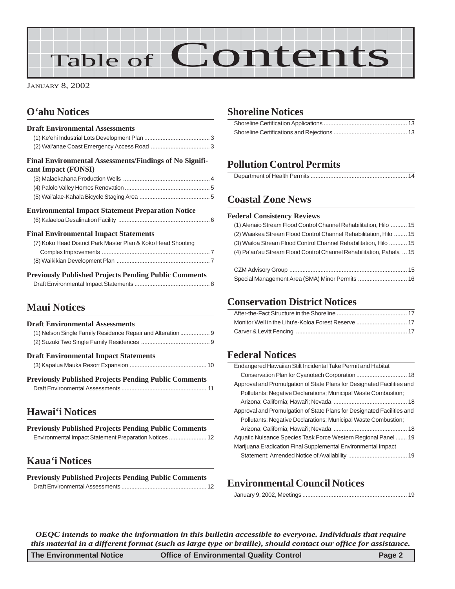# Table of Contents

JANUARY 8, 2002

## **O'ahu Notices**

| <b>Draft Environmental Assessments</b>                                         |
|--------------------------------------------------------------------------------|
| Final Environmental Assessments/Findings of No Signifi-<br>cant Impact (FONSI) |
|                                                                                |
|                                                                                |
|                                                                                |
| <b>Environmental Impact Statement Preparation Notice</b>                       |
|                                                                                |
| <b>Final Environmental Impact Statements</b>                                   |
| (7) Koko Head District Park Master Plan & Koko Head Shooting                   |
|                                                                                |
|                                                                                |
| <b>Previously Published Projects Pending Public Comments</b>                   |
|                                                                                |

## **Maui Notices**

| <b>Draft Environmental Assessments</b>                      |
|-------------------------------------------------------------|
| (1) Nelson Single Family Residence Repair and Alteration  9 |
|                                                             |
| <b>Draft Environmental Impact Statements</b>                |

**[Previously Published Projects Pending Public Comments](#page-10-0)** Draft Environmental Assessments [.................................................... 11](#page-10-0)

## **Hawai'i Notices**

| <b>Previously Published Projects Pending Public Comments</b> |  |
|--------------------------------------------------------------|--|
|                                                              |  |

### **Kaua'i Notices**

| <b>Previously Published Projects Pending Public Comments</b> |  |
|--------------------------------------------------------------|--|
|                                                              |  |

### **Shoreline Notices**

## **Pollution Control Permits**

|--|

## **Coastal Zone News**

#### **Federal Consistency Reviews**

| (1) Alenaio Stream Flood Control Channel Rehabilitation, Hilo  15                                                                                                                                                                                                                                                                                                                  |
|------------------------------------------------------------------------------------------------------------------------------------------------------------------------------------------------------------------------------------------------------------------------------------------------------------------------------------------------------------------------------------|
| (2) Waiakea Stream Flood Control Channel Rehabilitation, Hilo  15                                                                                                                                                                                                                                                                                                                  |
| (3) Wailoa Stream Flood Control Channel Rehabilitation, Hilo  15                                                                                                                                                                                                                                                                                                                   |
| (4) Pa'au'au Stream Flood Control Channel Rehabilitation, Pahala  15                                                                                                                                                                                                                                                                                                               |
|                                                                                                                                                                                                                                                                                                                                                                                    |
| $\bigcap \mathbb{R}$ $\bigcup$ $\bigcup$ $\bigcup$ $\bigcup$ $\bigcup$ $\bigcup$ $\bigcup$ $\bigcup$ $\bigcup$ $\bigcup$ $\bigcup$ $\bigcup$ $\bigcup$ $\bigcup$ $\bigcup$ $\bigcup$ $\bigcup$ $\bigcup$ $\bigcup$ $\bigcup$ $\bigcup$ $\bigcup$ $\bigcup$ $\bigcup$ $\bigcup$ $\bigcup$ $\bigcup$ $\bigcup$ $\bigcup$ $\bigcup$ $\bigcup$ $\bigcup$ $\bigcup$ $\bigcup$ $\bigcup$ |

## **Conservation District Notices**

## **Federal Notices**

| Endangered Hawaiian Stilt Incidental Take Permit and Habitat           |  |
|------------------------------------------------------------------------|--|
|                                                                        |  |
| Approval and Promulgation of State Plans for Designated Facilities and |  |
| Pollutants: Negative Declarations; Municipal Waste Combustion;         |  |
|                                                                        |  |
| Approval and Promulgation of State Plans for Designated Facilities and |  |
| Pollutants: Negative Declarations; Municipal Waste Combustion;         |  |
|                                                                        |  |
| Aquatic Nuisance Species Task Force Western Regional Panel  19         |  |
| Marijuana Eradication Final Supplemental Environmental Impact          |  |
|                                                                        |  |

## **Environmental Council Notices**

January 9, 2002, Meetings ................................................................ 19

 $\overline{\phantom{a}}$ 

*OEQC intends to make the information in this bulletin accessible to everyone. Individuals that require this material in a different format (such as large type or braille), should contact our office for assistance.*

| The Environmental Notice | <b>Office of Environmental Quality Control</b> | Page 2 |
|--------------------------|------------------------------------------------|--------|
|--------------------------|------------------------------------------------|--------|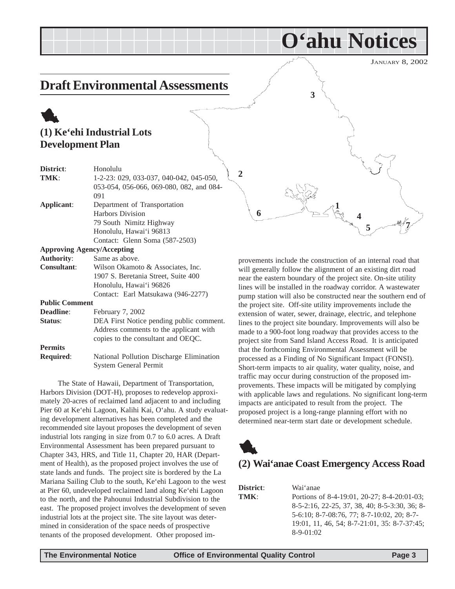## <span id="page-2-0"></span>**Draft Environmental Assessments**

## 1 **(1) Ke'ehi Industrial Lots Development Plan**

| District:             | Honolulu                                 |
|-----------------------|------------------------------------------|
| TMK:                  | 1-2-23: 029, 033-037, 040-042, 045-050,  |
|                       | 053-054, 056-066, 069-080, 082, and 084- |
|                       | 091                                      |
| Applicant:            | Department of Transportation             |
|                       | <b>Harbors Division</b>                  |
|                       | 79 South Nimitz Highway                  |
|                       | Honolulu, Hawai'i 96813                  |
|                       | Contact: Glenn Soma (587-2503)           |
|                       | <b>Approving Agency/Accepting</b>        |
| <b>Authority:</b>     | Same as above.                           |
| <b>Consultant:</b>    | Wilson Okamoto & Associates, Inc.        |
|                       | 1907 S. Beretania Street, Suite 400      |
|                       | Honolulu, Hawai'i 96826                  |
|                       | Contact: Earl Matsukawa (946-2277)       |
| <b>Public Comment</b> |                                          |
| Deadline:             | February 7, 2002                         |
| Status:               | DEA First Notice pending public comment. |
|                       | Address comments to the applicant with   |
|                       | copies to the consultant and OEQC.       |
| <b>Permits</b>        |                                          |
| <b>Required:</b>      | National Pollution Discharge Elimination |
|                       | <b>System General Permit</b>             |

The State of Hawaii, Department of Transportation, Harbors Division (DOT-H), proposes to redevelop approximately 20-acres of reclaimed land adjacent to and including Pier 60 at Ke'ehi Lagoon, Kalihi Kai, O'ahu. A study evaluating development alternatives has been completed and the recommended site layout proposes the development of seven industrial lots ranging in size from 0.7 to 6.0 acres. A Draft Environmental Assessment has been prepared pursuant to Chapter 343, HRS, and Title 11, Chapter 20, HAR (Department of Health), as the proposed project involves the use of state lands and funds. The project site is bordered by the La Mariana Sailing Club to the south, Ke'ehi Lagoon to the west at Pier 60, undeveloped reclaimed land along Ke'ehi Lagoon to the north, and the Pahounui Industrial Subdivision to the east. The proposed project involves the development of seven industrial lots at the project site. The site layout was determined in consideration of the space needs of prospective tenants of the proposed development. Other proposed im**2 4 5 7 1 6 3**

**O'ahu Notices**

provements include the construction of an internal road that will generally follow the alignment of an existing dirt road near the eastern boundary of the project site. On-site utility lines will be installed in the roadway corridor. A wastewater pump station will also be constructed near the southern end of the project site. Off-site utility improvements include the extension of water, sewer, drainage, electric, and telephone lines to the project site boundary. Improvements will also be made to a 900-foot long roadway that provides access to the project site from Sand Island Access Road. It is anticipated that the forthcoming Environmental Assessment will be processed as a Finding of No Significant Impact (FONSI). Short-term impacts to air quality, water quality, noise, and traffic may occur during construction of the proposed improvements. These impacts will be mitigated by complying with applicable laws and regulations. No significant long-term impacts are anticipated to result from the project. The proposed project is a long-range planning effort with no determined near-term start date or development schedule.



## **(2) Wai'anae Coast Emergency Access Road**

| <b>District:</b> | Wai 'anae                                     |
|------------------|-----------------------------------------------|
| TMK:             | Portions of 8-4-19:01, 20-27; 8-4-20:01-03;   |
|                  | 8-5-2:16, 22-25, 37, 38, 40; 8-5-3:30, 36; 8- |
|                  | 5-6:10; 8-7-08:76, 77; 8-7-10:02, 20; 8-7-    |
|                  | 19:01, 11, 46, 54; 8-7-21:01, 35: 8-7-37:45;  |
|                  | $8-9-01:02$                                   |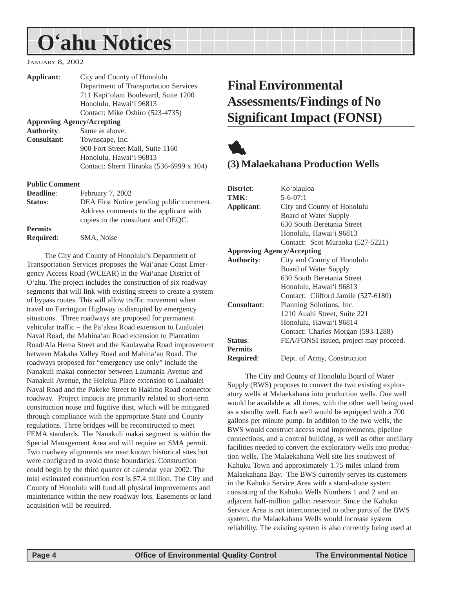## <span id="page-3-0"></span>**O'ahu Notices**

#### JANUARY 8, 2002

| Applicant:                        | City and County of Honolulu              |
|-----------------------------------|------------------------------------------|
|                                   | Department of Transportation Services    |
|                                   | 711 Kapi'olani Boulevard, Suite 1200     |
|                                   | Honolulu, Hawai'i 96813                  |
|                                   | Contact: Mike Oshiro (523-4735)          |
| <b>Approving Agency/Accepting</b> |                                          |
| <b>Authority:</b>                 | Same as above.                           |
| <b>Consultant:</b>                | Townscape, Inc.                          |
|                                   | 900 Fort Street Mall, Suite 1160         |
|                                   | Honolulu, Hawai'i 96813                  |
|                                   | Contact: Sherri Hiraoka (536-6999 x 104) |
|                                   |                                          |

#### **Public Comment**

| <b>Deadline:</b> | February 7, 2002                         |
|------------------|------------------------------------------|
| Status:          | DEA First Notice pending public comment. |
|                  | Address comments to the applicant with   |
|                  | copies to the consultant and OEQC.       |
| <b>Permits</b>   |                                          |
| <b>Required:</b> | SMA, Noise                               |
|                  |                                          |

The City and County of Honolulu's Department of Transportation Services proposes the Wai'anae Coast Emergency Access Road (WCEAR) in the Wai'anae District of O'ahu. The project includes the construction of six roadway segments that will link with existing streets to create a system of bypass routes. This will allow traffic movement when travel on Farrington Highway is disrupted by emergency situations. Three roadways are proposed for permanent vehicular traffic – the Pa'akea Road extension to Lualualei Naval Road, the Mahina'au Road extension to Plantation Road/Ala Hema Street and the Kaulawaha Road improvement between Makaha Valley Road and Mahina'au Road. The roadways proposed for "emergency use only" include the Nanakuli makai connector between Laumania Avenue and Nanakuli Avenue, the Helelua Place extension to Lualualei Naval Road and the Pakeke Street to Hakimo Road connector roadway. Project impacts are primarily related to short-term construction noise and fugitive dust, which will be mitigated through compliance with the appropriate State and County regulations. Three bridges will be reconstructed to meet FEMA standards. The Nanakuli makai segment is within the Special Management Area and will require an SMA permit. Two roadway alignments are near known historical sites but were configured to avoid those boundaries. Construction could begin by the third quarter of calendar year 2002. The total estimated construction cost is \$7.4 million. The City and County of Honolulu will fund all physical improvements and maintenance within the new roadway lots. Easements or land acquisition will be required.

## **Final Environmental Assessments/Findings of No Significant Impact (FONSI)**



#### **(3) Malaekahana Production Wells**

| District:                         | Ko'olauloa                             |
|-----------------------------------|----------------------------------------|
| TMK:                              | $5 - 6 - 07:1$                         |
| Applicant:                        | City and County of Honolulu            |
|                                   | Board of Water Supply                  |
|                                   | 630 South Beretania Street             |
|                                   | Honolulu, Hawai'i 96813                |
|                                   | Contact: Scot Muraoka (527-5221)       |
| <b>Approving Agency/Accepting</b> |                                        |
| <b>Authority:</b>                 | City and County of Honolulu            |
|                                   | Board of Water Supply                  |
|                                   | 630 South Beretania Street             |
|                                   | Honolulu, Hawai'i 96813                |
|                                   | Contact: Clifford Jamile (527-6180)    |
| <b>Consultant:</b>                | Planning Solutions, Inc.               |
|                                   | 1210 Auahi Street, Suite 221           |
|                                   | Honolulu, Hawai'i 96814                |
|                                   | Contact: Charles Morgan (593-1288)     |
| Status:                           | FEA/FONSI issued, project may proceed. |
| <b>Permits</b>                    |                                        |
| <b>Required:</b>                  | Dept. of Army, Construction            |

The City and County of Honolulu Board of Water Supply (BWS) proposes to convert the two existing exploratory wells at Malaekahana into production wells. One well would be available at all times, with the other well being used as a standby well. Each well would be equipped with a 700 gallons per minute pump. In addition to the two wells, the BWS would construct access road improvements, pipeline connections, and a control building, as well as other ancillary facilities needed to convert the exploratory wells into production wells. The Malaekahana Well site lies southwest of Kahuku Town and approximately 1.75 miles inland from Malaekahana Bay. The BWS currently serves its customers in the Kahuku Service Area with a stand-alone system consisting of the Kahuku Wells Numbers 1 and 2 and an adjacent half-million gallon reservoir. Since the Kahuku Service Area is not interconnected to other parts of the BWS system, the Malaekahana Wells would increase system reliability. The existing system is also currently being used at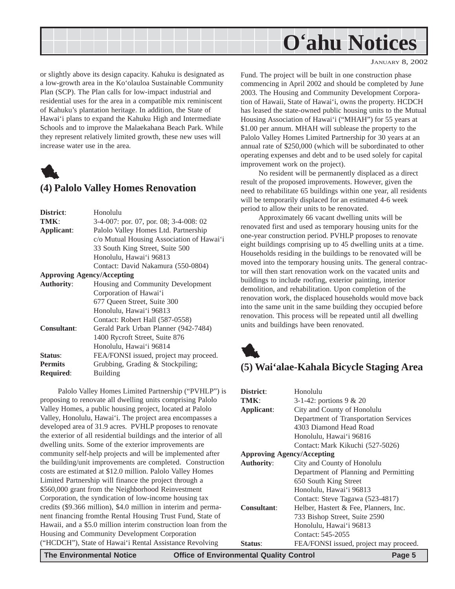<span id="page-4-0"></span>

or slightly above its design capacity. Kahuku is designated as a low-growth area in the Ko'olauloa Sustainable Community Plan (SCP). The Plan calls for low-impact industrial and residential uses for the area in a compatible mix reminiscent of Kahuku's plantation heritage. In addition, the State of Hawai'i plans to expand the Kahuku High and Intermediate Schools and to improve the Malaekahana Beach Park. While they represent relatively limited growth, these new uses will increase water use in the area.



#### **(4) Palolo Valley Homes Renovation**

| District:                         | Honolulu                                     |
|-----------------------------------|----------------------------------------------|
|                                   |                                              |
| TMK:                              | $3-4-007$ : por. 07, por. 08; $3-4-008$ : 02 |
| Applicant:                        | Palolo Valley Homes Ltd. Partnership         |
|                                   | c/o Mutual Housing Association of Hawai'i    |
|                                   | 33 South King Street, Suite 500              |
|                                   | Honolulu, Hawai'i 96813                      |
|                                   | Contact: David Nakamura (550-0804)           |
| <b>Approving Agency/Accepting</b> |                                              |
| <b>Authority:</b>                 | Housing and Community Development            |
|                                   | Corporation of Hawai'i                       |
|                                   | 677 Oueen Street, Suite 300                  |
|                                   | Honolulu, Hawai'i 96813                      |
|                                   | Contact: Robert Hall (587-0558)              |
| <b>Consultant:</b>                | Gerald Park Urban Planner (942-7484)         |
|                                   | 1400 Rycroft Street, Suite 876               |
|                                   | Honolulu, Hawai'i 96814                      |
| Status:                           | FEA/FONSI issued, project may proceed.       |
| <b>Permits</b>                    | Grubbing, Grading & Stockpiling;             |
| <b>Required:</b>                  | Building                                     |
|                                   |                                              |

Palolo Valley Homes Limited Partnership ("PVHLP") is proposing to renovate all dwelling units comprising Palolo Valley Homes, a public housing project, located at Palolo Valley, Honolulu, Hawai'i. The project area encompasses a developed area of 31.9 acres. PVHLP proposes to renovate the exterior of all residential buildings and the interior of all dwelling units. Some of the exterior improvements are community self-help projects and will be implemented after the building/unit improvements are completed. Construction costs are estimated at \$12.0 million. Palolo Valley Homes Limited Partnership will finance the project through a \$560,000 grant from the Neighborhood Reinvestment Corporation, the syndication of low-income housing tax credits (\$9.366 million), \$4.0 million in interim and permanent financing fromthe Rental Housing Trust Fund, State of Hawaii, and a \$5.0 million interim construction loan from the Housing and Community Development Corporation ("HCDCH"), State of Hawai'i Rental Assistance Revolving

JANUARY 8, 2002

Fund. The project will be built in one construction phase commencing in April 2002 and should be completed by June 2003. The Housing and Community Development Corporation of Hawaii, State of Hawai'i, owns the property. HCDCH has leased the state-owned public housing units to the Mutual Housing Association of Hawai'i ("MHAH") for 55 years at \$1.00 per annum. MHAH will sublease the property to the Palolo Valley Homes Limited Partnership for 30 years at an annual rate of \$250,000 (which will be subordinated to other operating expenses and debt and to be used solely for capital improvement work on the project).

No resident will be permanently displaced as a direct result of the proposed improvements. However, given the need to rehabilitate 65 buildings within one year, all residents will be temporarily displaced for an estimated 4-6 week period to allow their units to be renovated.

Approximately 66 vacant dwelling units will be renovated first and used as temporary housing units for the one-year construction period. PVHLP proposes to renovate eight buildings comprising up to 45 dwelling units at a time. Households residing in the buildings to be renovated will be moved into the temporary housing units. The general contractor will then start renovation work on the vacated units and buildings to include roofing, exterior painting, interior demolition, and rehabilitation. Upon completion of the renovation work, the displaced households would move back into the same unit in the same building they occupied before renovation. This process will be repeated until all dwelling units and buildings have been renovated.



#### **(5) Wai'alae-Kahala Bicycle Staging Area**

| District:                         | Honolulu                               |
|-----------------------------------|----------------------------------------|
| TMK:                              | 3-1-42: portions $9 & 20$              |
| Applicant:                        | City and County of Honolulu            |
|                                   | Department of Transportation Services  |
|                                   | 4303 Diamond Head Road                 |
|                                   | Honolulu, Hawai'i 96816                |
|                                   | Contact: Mark Kikuchi (527-5026)       |
| <b>Approving Agency/Accepting</b> |                                        |
| <b>Authority:</b>                 | City and County of Honolulu            |
|                                   | Department of Planning and Permitting  |
|                                   | 650 South King Street                  |
|                                   | Honolulu, Hawai'i 96813                |
|                                   | Contact: Steve Tagawa (523-4817)       |
| Consultant:                       | Helber, Hastert & Fee, Planners, Inc.  |
|                                   | 733 Bishop Street, Suite 2590          |
|                                   | Honolulu, Hawai'i 96813                |
|                                   | Contact: 545-2055                      |
| <b>Status:</b>                    | FEA/FONSI issued, project may proceed. |

**The Environmental Notice Office of Environmental Quality Control Page 5**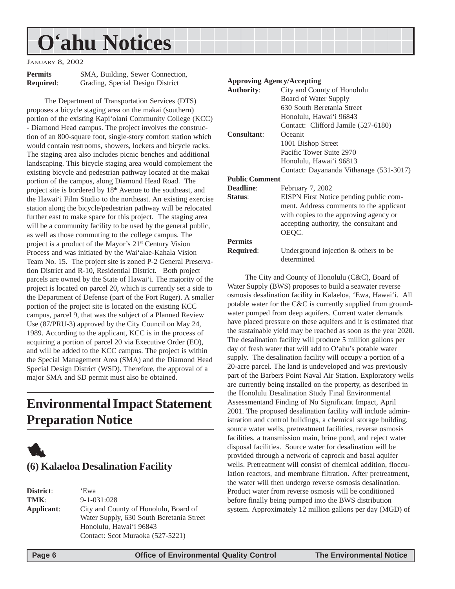## <span id="page-5-0"></span>**O'ahu Notices**

JANUARY 8, 2002

| <b>Permits</b>   |  |
|------------------|--|
| <b>Required:</b> |  |

**SMA, Building, Sewer Connection, Required**: Grading, Special Design District

The Department of Transportation Services (DTS) proposes a bicycle staging area on the makai (southern) portion of the existing Kapi'olani Community College (KCC) - Diamond Head campus. The project involves the construction of an 800-square foot, single-story comfort station which would contain restrooms, showers, lockers and bicycle racks. The staging area also includes picnic benches and additional landscaping. This bicycle staging area would complement the existing bicycle and pedestrian pathway located at the makai portion of the campus, along Diamond Head Road. The project site is bordered by 18th Avenue to the southeast, and the Hawai'i Film Studio to the northeast. An existing exercise station along the bicycle/pedestrian pathway will be relocated further east to make space for this project. The staging area will be a community facility to be used by the general public, as well as those commuting to the college campus. The project is a product of the Mayor's 21st Century Vision Process and was initiated by the Wai'alae-Kahala Vision Team No. 15. The project site is zoned P-2 General Preservation District and R-10, Residential District. Both project parcels are owned by the State of Hawai'i. The majority of the project is located on parcel 20, which is currently set a side to the Department of Defense (part of the Fort Ruger). A smaller portion of the project site is located on the existing KCC campus, parcel 9, that was the subject of a Planned Review Use (87/PRU-3) approved by the City Council on May 24, 1989. According to the applicant, KCC is in the process of acquiring a portion of parcel 20 via Executive Order (EO), and will be added to the KCC campus. The project is within the Special Management Area (SMA) and the Diamond Head Special Design District (WSD). Therefore, the approval of a major SMA and SD permit must also be obtained.

## **Environmental Impact Statement Preparation Notice**



**District**: 'Ewa **TMK**: 9-1-031:028 **Applicant**: City and County of Honolulu, Board of Water Supply, 630 South Beretania Street Honolulu, Hawai'i 96843 Contact: Scot Muraoka (527-5221)

#### **Approving Agency/Accepting Authority**: City and County of Honolulu Board of Water Supply 630 South Beretania Street Honolulu, Hawai'i 96843 Contact: Clifford Jamile (527-6180) **Consultant**: Oceanit 1001 Bishop Street Pacific Tower Suite 2970 Honolulu, Hawai'i 96813 Contact: Dayananda Vithanage (531-3017) **Public Comment Deadline**: February 7, 2002 **Status**: EISPN First Notice pending public comment. Address comments to the applicant with copies to the approving agency or accepting authority, the consultant and OEQC. **Permits Required:** Underground injection & others to be determined

The City and County of Honolulu (C&C), Board of Water Supply (BWS) proposes to build a seawater reverse osmosis desalination facility in Kalaeloa, 'Ewa, Hawai'i. All potable water for the C&C is currently supplied from groundwater pumped from deep aquifers. Current water demands have placed pressure on these aquifers and it is estimated that the sustainable yield may be reached as soon as the year 2020. The desalination facility will produce 5 million gallons per day of fresh water that will add to O'ahu's potable water supply. The desalination facility will occupy a portion of a 20-acre parcel. The land is undeveloped and was previously part of the Barbers Point Naval Air Station. Exploratory wells are currently being installed on the property, as described in the Honolulu Desalination Study Final Environmental Assessmentand Finding of No Significant Impact, April 2001. The proposed desalination facility will include administration and control buildings, a chemical storage building, source water wells, pretreatment facilities, reverse osmosis facilities, a transmission main, brine pond, and reject water disposal facilities. Source water for desalination will be provided through a network of caprock and basal aquifer wells. Pretreatment will consist of chemical addition, flocculation reactors, and membrane filtration. After pretreatment, the water will then undergo reverse osmosis desalination. Product water from reverse osmosis will be conditioned before finally being pumped into the BWS distribution system. Approximately 12 million gallons per day (MGD) of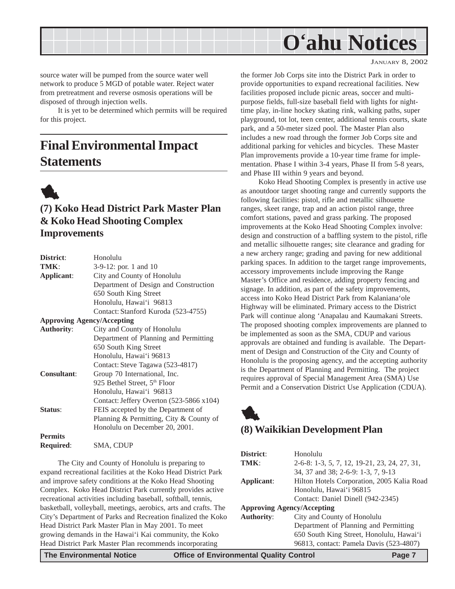<span id="page-6-0"></span>

source water will be pumped from the source water well network to produce 5 MGD of potable water. Reject water from pretreatment and reverse osmosis operations will be disposed of through injection wells.

It is yet to be determined which permits will be required for this project.

## **Final Environmental Impact Statements**



## **(7) Koko Head District Park Master Plan & Koko Head Shooting Complex Improvements**

| District:          | Honolulu                                 |
|--------------------|------------------------------------------|
| TMK:               | 3-9-12: por. 1 and 10                    |
| Applicant:         | City and County of Honolulu              |
|                    | Department of Design and Construction    |
|                    | 650 South King Street                    |
|                    | Honolulu, Hawai'i 96813                  |
|                    | Contact: Stanford Kuroda (523-4755)      |
|                    | <b>Approving Agency/Accepting</b>        |
| <b>Authority:</b>  | City and County of Honolulu              |
|                    | Department of Planning and Permitting    |
|                    | 650 South King Street                    |
|                    | Honolulu, Hawai'i 96813                  |
|                    | Contact: Steve Tagawa (523-4817)         |
| <b>Consultant:</b> | Group 70 International, Inc.             |
|                    | 925 Bethel Street, 5 <sup>th</sup> Floor |
|                    | Honolulu, Hawai'i 96813                  |
|                    | Contact: Jeffery Overton (523-5866 x104) |
| Status:            | FEIS accepted by the Department of       |
|                    | Planning & Permitting, City & County of  |
|                    | Honolulu on December 20, 2001.           |
| <b>Permits</b>     |                                          |
| <b>Required:</b>   | SMA, CDUP                                |
|                    |                                          |

The City and County of Honolulu is preparing to expand recreational facilities at the Koko Head District Park and improve safety conditions at the Koko Head Shooting Complex. Koko Head District Park currently provides active recreational activities including baseball, softball, tennis, basketball, volleyball, meetings, aerobics, arts and crafts. The City's Department of Parks and Recreation finalized the Koko Head District Park Master Plan in May 2001. To meet growing demands in the Hawai'i Kai community, the Koko Head District Park Master Plan recommends incorporating

the former Job Corps site into the District Park in order to provide opportunities to expand recreational facilities. New facilities proposed include picnic areas, soccer and multipurpose fields, full-size baseball field with lights for nighttime play, in-line hockey skating rink, walking paths, super playground, tot lot, teen center, additional tennis courts, skate park, and a 50-meter sized pool. The Master Plan also includes a new road through the former Job Corps site and additional parking for vehicles and bicycles. These Master Plan improvements provide a 10-year time frame for implementation. Phase I within 3-4 years, Phase II from 5-8 years, and Phase III within 9 years and beyond.

Koko Head Shooting Complex is presently in active use as anoutdoor target shooting range and currently supports the following facilities: pistol, rifle and metallic silhouette ranges, skeet range, trap and an action pistol range, three comfort stations, paved and grass parking. The proposed improvements at the Koko Head Shooting Complex involve: design and construction of a baffling system to the pistol, rifle and metallic silhouette ranges; site clearance and grading for a new archery range; grading and paving for new additional parking spaces. In addition to the target range improvements, accessory improvements include improving the Range Master's Office and residence, adding property fencing and signage. In addition, as part of the safety improvements, access into Koko Head District Park from Kalaniana'ole Highway will be eliminated. Primary access to the District Park will continue along 'Anapalau and Kaumakani Streets. The proposed shooting complex improvements are planned to be implemented as soon as the SMA, CDUP and various approvals are obtained and funding is available. The Department of Design and Construction of the City and County of Honolulu is the proposing agency, and the accepting authority is the Department of Planning and Permitting. The project requires approval of Special Management Area (SMA) Use Permit and a Conservation District Use Application (CDUA).

### **(8) Waikikian Development Plan**

| District:                         | Honolulu                                     |  |
|-----------------------------------|----------------------------------------------|--|
| TMK:                              | 2-6-8: 1-3, 5, 7, 12, 19-21, 23, 24, 27, 31, |  |
|                                   | 34, 37 and 38; 2-6-9: 1-3, 7, 9-13           |  |
| Applicant:                        | Hilton Hotels Corporation, 2005 Kalia Road   |  |
|                                   | Honolulu, Hawai'i 96815                      |  |
|                                   | Contact: Daniel Dinell (942-2345)            |  |
| <b>Approving Agency/Accepting</b> |                                              |  |
| <b>Authority:</b>                 | City and County of Honolulu                  |  |
|                                   | Department of Planning and Permitting        |  |
|                                   | 650 South King Street, Honolulu, Hawai'i     |  |
|                                   | 96813, contact: Pamela Davis (523-4807)      |  |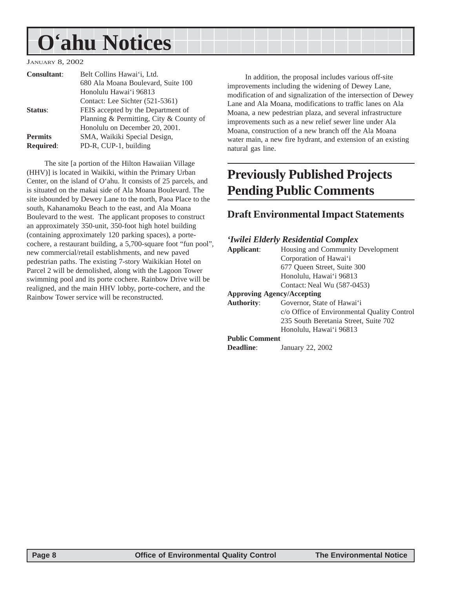## <span id="page-7-0"></span>**O'ahu Notices**

JANUARY 8, 2002

| <b>Consultant:</b> | Belt Collins Hawai'i, Ltd.              |
|--------------------|-----------------------------------------|
|                    | 680 Ala Moana Boulevard, Suite 100      |
|                    | Honolulu Hawai'i 96813                  |
|                    | Contact: Lee Sichter (521-5361)         |
| Status:            | FEIS accepted by the Department of      |
|                    | Planning & Permitting, City & County of |
|                    | Honolulu on December 20, 2001.          |
| <b>Permits</b>     | SMA, Waikiki Special Design,            |
| <b>Required:</b>   | PD-R, CUP-1, building                   |
|                    |                                         |

The site [a portion of the Hilton Hawaiian Village (HHV)] is located in Waikiki, within the Primary Urban Center, on the island of O'ahu. It consists of 25 parcels, and is situated on the makai side of Ala Moana Boulevard. The site isbounded by Dewey Lane to the north, Paoa Place to the south, Kahanamoku Beach to the east, and Ala Moana Boulevard to the west. The applicant proposes to construct an approximately 350-unit, 350-foot high hotel building (containing approximately 120 parking spaces), a portecochere, a restaurant building, a 5,700-square foot "fun pool", new commercial/retail establishments, and new paved pedestrian paths. The existing 7-story Waikikian Hotel on Parcel 2 will be demolished, along with the Lagoon Tower swimming pool and its porte cochere. Rainbow Drive will be realigned, and the main HHV lobby, porte-cochere, and the Rainbow Tower service will be reconstructed.

In addition, the proposal includes various off-site improvements including the widening of Dewey Lane, modification of and signalization of the intersection of Dewey Lane and Ala Moana, modifications to traffic lanes on Ala Moana, a new pedestrian plaza, and several infrastructure improvements such as a new relief sewer line under Ala Moana, construction of a new branch off the Ala Moana water main, a new fire hydrant, and extension of an existing natural gas line.

## **Previously Published Projects Pending Public Comments**

## **Draft Environmental Impact Statements**

#### *'Iwilei Elderly Residential Complex*

| Applicant:                        | Housing and Community Development           |  |
|-----------------------------------|---------------------------------------------|--|
|                                   | Corporation of Hawai'i                      |  |
|                                   | 677 Oueen Street, Suite 300                 |  |
|                                   | Honolulu, Hawai'i 96813                     |  |
|                                   | Contact: Neal Wu (587-0453)                 |  |
| <b>Approving Agency/Accepting</b> |                                             |  |
| <b>Authority:</b>                 | Governor, State of Hawai'i                  |  |
|                                   | c/o Office of Environmental Quality Control |  |
|                                   | 235 South Beretania Street, Suite 702       |  |
|                                   | Honolulu, Hawai'i 96813                     |  |
| <b>Public Comment</b>             |                                             |  |
| Deadline:                         | January 22, 2002                            |  |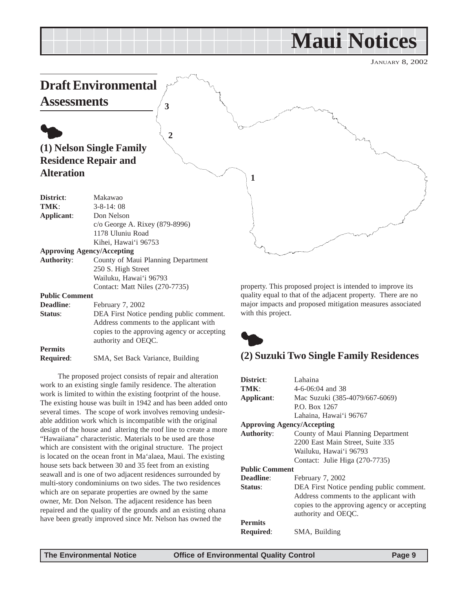## **Maui Notices**

JANUARY 8, 2002

<span id="page-8-0"></span>

**Status:** DEA First Notice pending public comment. Address comments to the applicant with copies to the approving agency or accepting authority and OEQC. **Permits**

| <b>Required:</b> |  | SMA, Set Back Variance, Building |  |
|------------------|--|----------------------------------|--|
|------------------|--|----------------------------------|--|

The proposed project consists of repair and alteration work to an existing single family residence. The alteration work is limited to within the existing footprint of the house. The existing house was built in 1942 and has been added onto several times. The scope of work involves removing undesirable addition work which is incompatible with the original design of the house and altering the roof line to create a more "Hawaiiana" characteristic. Materials to be used are those which are consistent with the original structure. The project is located on the ocean front in Ma'alaea, Maui. The existing house sets back between 30 and 35 feet from an existing seawall and is one of two adjacent residences surrounded by multi-story condominiums on two sides. The two residences which are on separate properties are owned by the same owner, Mr. Don Nelson. The adjacent residence has been repaired and the quality of the grounds and an existing ohana have been greatly improved since Mr. Nelson has owned the

with this project.



## **(2) Suzuki Two Single Family Residences**

| District:                         | Lahaina                                     |
|-----------------------------------|---------------------------------------------|
| TMK:                              | $4-6-06:04$ and 38                          |
| Applicant:                        | Mac Suzuki (385-4079/667-6069)              |
|                                   | P.O. Box 1267                               |
|                                   | Lahaina, Hawai'i 96767                      |
| <b>Approving Agency/Accepting</b> |                                             |
| <b>Authority:</b>                 | County of Maui Planning Department          |
|                                   | 2200 East Main Street, Suite 335            |
|                                   | Wailuku, Hawai'i 96793                      |
|                                   | Contact: Julie Higa (270-7735)              |
| <b>Public Comment</b>             |                                             |
| Deadline:                         | February 7, 2002                            |
| Status:                           | DEA First Notice pending public comment.    |
|                                   | Address comments to the applicant with      |
|                                   | copies to the approving agency or accepting |
|                                   | authority and OEOC.                         |
| <b>Permits</b>                    |                                             |
| <b>Required:</b>                  | SMA, Building                               |
|                                   |                                             |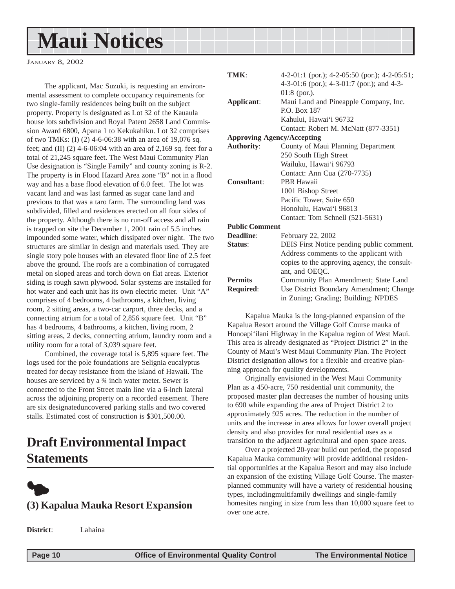## <span id="page-9-0"></span>**Maui Notices**

JANUARY 8, 2002

The applicant, Mac Suzuki, is requesting an environmental assessment to complete occupancy requirements for two single-family residences being built on the subject property. Property is designated as Lot 32 of the Kauaula house lots subdivision and Royal Patent 2658 Land Commission Award 6800, Apana 1 to Kekukahiku. Lot 32 comprises of two TMKs: (I) (2) 4-6-06:38 with an area of 19,076 sq. feet; and (II) (2) 4-6-06:04 with an area of 2,169 sq. feet for a total of 21,245 square feet. The West Maui Community Plan Use designation is "Single Family" and county zoning is R-2. The property is in Flood Hazard Area zone "B" not in a flood way and has a base flood elevation of 6.0 feet. The lot was vacant land and was last farmed as sugar cane land and previous to that was a taro farm. The surrounding land was subdivided, filled and residences erected on all four sides of the property. Although there is no run-off access and all rain is trapped on site the December 1, 2001 rain of 5.5 inches impounded some water, which dissipated over night. The two structures are similar in design and materials used. They are single story pole houses with an elevated floor line of 2.5 feet above the ground. The roofs are a combination of corrugated metal on sloped areas and torch down on flat areas. Exterior siding is rough sawn plywood. Solar systems are installed for hot water and each unit has its own electric meter. Unit "A" comprises of 4 bedrooms, 4 bathrooms, a kitchen, living room, 2 sitting areas, a two-car carport, three decks, and a connecting atrium for a total of 2,856 square feet. Unit "B" has 4 bedrooms, 4 bathrooms, a kitchen, living room, 2 sitting areas, 2 decks, connecting atrium, laundry room and a utility room for a total of 3,039 square feet.

Combined, the coverage total is 5,895 square feet. The logs used for the pole foundations are Selignia eucalyptus treated for decay resistance from the island of Hawaii. The houses are serviced by a  $\frac{3}{4}$  inch water meter. Sewer is connected to the Front Street main line via a 6-inch lateral across the adjoining property on a recorded easement. There are six designateduncovered parking stalls and two covered stalls. Estimated cost of construction is \$301,500.00.

## **Draft Environmental Impact Statements**



## **(3) Kapalua Mauka Resort Expansion**

**TMK**: 4-2-01:1 (por.); 4-2-05:50 (por.); 4-2-05:51; 4-3-01:6 (por.); 4-3-01:7 (por.); and 4-3- 01:8 (por.). **Applicant**: Maui Land and Pineapple Company, Inc. P.O. Box 187 Kahului, Hawai'i 96732 Contact: Robert M. McNatt (877-3351) **Approving Agency/Accepting Authority**: County of Maui Planning Department 250 South High Street Wailuku, Hawai'i 96793 Contact: Ann Cua (270-7735) **Consultant**: PBR Hawaii 1001 Bishop Street Pacific Tower, Suite 650 Honolulu, Hawai'i 96813 Contact: Tom Schnell (521-5631) **Public Comment Deadline**: February 22, 2002 **Status**: DEIS First Notice pending public comment. Address comments to the applicant with copies to the approving agency, the consultant, and OEQC. **Permits** Community Plan Amendment; State Land **Required**: Use District Boundary Amendment; Change in Zoning; Grading; Building; NPDES

Kapalua Mauka is the long-planned expansion of the Kapalua Resort around the Village Golf Course mauka of Honoapi'ilani Highway in the Kapalua region of West Maui. This area is already designated as "Project District 2" in the County of Maui's West Maui Community Plan. The Project District designation allows for a flexible and creative planning approach for quality developments.

Originally envisioned in the West Maui Community Plan as a 450-acre, 750 residential unit community, the proposed master plan decreases the number of housing units to 690 while expanding the area of Project District 2 to approximately 925 acres. The reduction in the number of units and the increase in area allows for lower overall project density and also provides for rural residential uses as a transition to the adjacent agricultural and open space areas.

Over a projected 20-year build out period, the proposed Kapalua Mauka community will provide additional residential opportunities at the Kapalua Resort and may also include an expansion of the existing Village Golf Course. The masterplanned community will have a variety of residential housing types, includingmultifamily dwellings and single-family homesites ranging in size from less than 10,000 square feet to over one acre.

**District**: Lahaina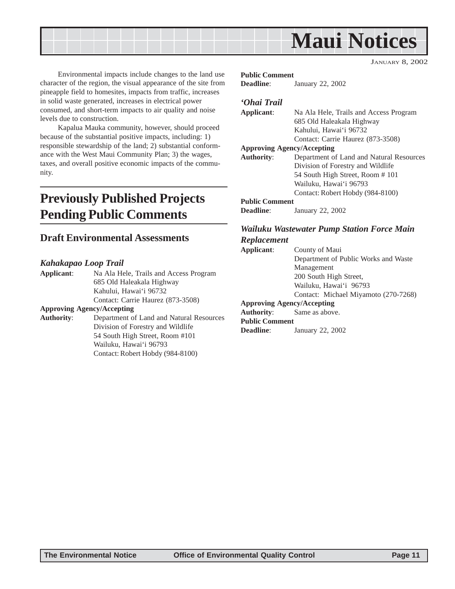<span id="page-10-0"></span>

Environmental impacts include changes to the land use character of the region, the visual appearance of the site from pineapple field to homesites, impacts from traffic, increases in solid waste generated, increases in electrical power consumed, and short-term impacts to air quality and noise levels due to construction.

Kapalua Mauka community, however, should proceed because of the substantial positive impacts, including: 1) responsible stewardship of the land; 2) substantial conformance with the West Maui Community Plan; 3) the wages, taxes, and overall positive economic impacts of the community.

## **Previously Published Projects Pending Public Comments**

### **Draft Environmental Assessments**

#### *Kahakapao Loop Trail*

**Applicant**: Na Ala Hele, Trails and Access Program 685 Old Haleakala Highway Kahului, Hawai'i 96732 Contact: Carrie Haurez (873-3508)

#### **Approving Agency/Accepting**

**Authority**: Department of Land and Natural Resources Division of Forestry and Wildlife 54 South High Street, Room #101 Wailuku, Hawai'i 96793 Contact: Robert Hobdy (984-8100)

#### **Public Comment**

**Deadline**: January 22, 2002

#### *'Ohai Trail*

| Applicant:            | Na Ala Hele, Trails and Access Program   |
|-----------------------|------------------------------------------|
|                       | 685 Old Haleakala Highway                |
|                       | Kahului, Hawai'i 96732                   |
|                       | Contact: Carrie Haurez (873-3508)        |
|                       | <b>Approving Agency/Accepting</b>        |
| <b>Authority:</b>     | Department of Land and Natural Resources |
|                       | Division of Forestry and Wildlife        |
|                       | 54 South High Street, Room #101          |
|                       | Wailuku, Hawaiʻi 96793                   |
|                       | Contact: Robert Hobdy (984-8100)         |
| <b>Public Comment</b> |                                          |
| <b>Deadline:</b>      | January 22, 2002                         |

#### *Wailuku Wastewater Pump Station Force Main Replacement*

**Applicant**: County of Maui Department of Public Works and Waste Management 200 South High Street, Wailuku, Hawai'i 96793 Contact: Michael Miyamoto (270-7268) **Approving Agency/Accepting Authority**: Same as above. **Public Comment Deadline**: January 22, 2002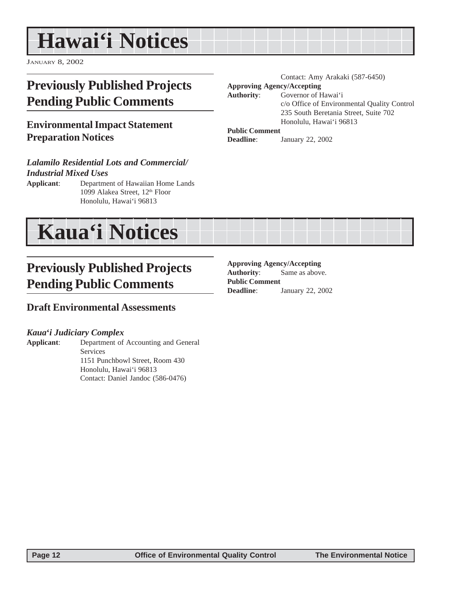## <span id="page-11-0"></span>**Hawai'i Notices**

JANUARY 8, 2002

## **Previously Published Projects Pending Public Comments**

## **Environmental Impact Statement Preparation Notices**

#### *Lalamilo Residential Lots and Commercial/ Industrial Mixed Uses*

**Applicant**: Department of Hawaiian Home Lands 1099 Alakea Street, 12<sup>th</sup> Floor Honolulu, Hawai'i 96813

## **Previously Published Projects Pending Public Comments**

#### **Draft Environmental Assessments**

#### *Kaua***'***i Judiciary Complex*

**Applicant**: Department of Accounting and General Services 1151 Punchbowl Street, Room 430 Honolulu, Hawai'i 96813 Contact: Daniel Jandoc (586-0476)

Contact: Amy Arakaki (587-6450) **Approving Agency/Accepting Authority**: Governor of Hawai'i c/o Office of Environmental Quality Control 235 South Beretania Street, Suite 702 Honolulu, Hawai'i 96813

#### **Public Comment**

**Deadline**: January 22, 2002



#### **Approving Agency/Accepting**

**Authority**: Same as above. **Public Comment Deadline**: January 22, 2002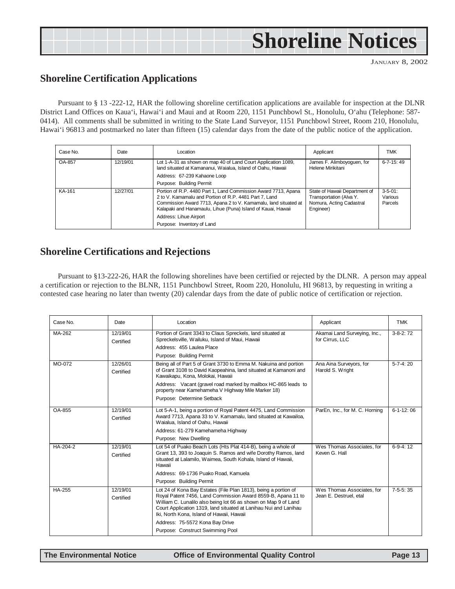## <span id="page-12-0"></span>**Shoreline Notices**

JANUARY 8, 2002

### **Shoreline Certification Applications**

Pursuant to § 13 -222-12, HAR the following shoreline certification applications are available for inspection at the DLNR District Land Offices on Kaua'i, Hawai'i and Maui and at Room 220, 1151 Punchbowl St., Honolulu, O'ahu (Telephone: 587- 0414). All comments shall be submitted in writing to the State Land Surveyor, 1151 Punchbowl Street, Room 210, Honolulu, Hawai'i 96813 and postmarked no later than fifteen (15) calendar days from the date of the public notice of the application.

| Case No. | Date     | Location                                                                                                                                                                                                                                                                                                            | Applicant                                                                                         | TMK                                  |
|----------|----------|---------------------------------------------------------------------------------------------------------------------------------------------------------------------------------------------------------------------------------------------------------------------------------------------------------------------|---------------------------------------------------------------------------------------------------|--------------------------------------|
| OA-857   | 12/19/01 | Lot 1-A-31 as shown on map 40 of Land Court Application 1089,<br>land situated at Kamananui, Waialua, Island of Oahu, Hawaii                                                                                                                                                                                        | James F. Alimboyoguen, for<br>Helene Mirikitani                                                   | $6 - 7 - 15$ : 49                    |
|          |          | Address: 67-239 Kahaone Loop                                                                                                                                                                                                                                                                                        |                                                                                                   |                                      |
|          |          | Purpose: Building Permit                                                                                                                                                                                                                                                                                            |                                                                                                   |                                      |
| KA-161   | 12/27/01 | Portion of R.P. 4480 Part 1, Land Commission Award 7713, Apana<br>2 to V. Kamamalu and Portion of R.P. 4481 Part 7, Land<br>Commission Award 7713, Apana 2 to V. Kamamalu, land situated at<br>Kalapaki and Hanamaulu, Lihue (Puna) Island of Kauai, Hawaii<br>Address: Lihue Airport<br>Purpose: Inventory of Land | State of Hawaii Department of<br>Transportation (Alva Y.<br>Nomura, Acting Cadastral<br>Engineer) | $3 - 5 - 01$ :<br>Various<br>Parcels |

### **Shoreline Certifications and Rejections**

Pursuant to §13-222-26, HAR the following shorelines have been certified or rejected by the DLNR. A person may appeal a certification or rejection to the BLNR, 1151 Punchbowl Street, Room 220, Honolulu, HI 96813, by requesting in writing a contested case hearing no later than twenty (20) calendar days from the date of public notice of certification or rejection.

| Case No.      | Date                  | Location                                                                                                                                                                                                                                         | Applicant                                       | <b>TMK</b>      |
|---------------|-----------------------|--------------------------------------------------------------------------------------------------------------------------------------------------------------------------------------------------------------------------------------------------|-------------------------------------------------|-----------------|
| MA-262        | 12/19/01<br>Certified | Portion of Grant 3343 to Claus Spreckels, land situated at<br>Spreckelsville, Wailuku, Island of Maui, Hawaii                                                                                                                                    | Akamai Land Surveying, Inc.,<br>for Cirrus, LLC | $3-8-2:72$      |
|               |                       | Address: 455 Laulea Place                                                                                                                                                                                                                        |                                                 |                 |
|               |                       | Purpose: Building Permit                                                                                                                                                                                                                         |                                                 |                 |
| MO-072        | 12/26/01<br>Certified | Being all of Part 5 of Grant 3730 to Emma M. Nakuina and portion<br>of Grant 3108 to David Kaopeahina, land situated at Kamanoni and<br>Kawaikapu, Kona, Molokai, Hawaii                                                                         | Ana Aina Surveyors, for<br>Harold S. Wright     | $5 - 7 - 4:20$  |
|               |                       | Address: Vacant (gravel road marked by mailbox HC-865 leads to<br>property near Kamehameha V Highway Mile Marker 18)                                                                                                                             |                                                 |                 |
|               |                       | Purpose: Determine Setback                                                                                                                                                                                                                       |                                                 |                 |
| <b>OA-855</b> | 12/19/01              | Lot 5-A-1, being a portion of Royal Patent 4475, Land Commission                                                                                                                                                                                 | ParEn, Inc., for M. C. Horning                  | $6 - 1 - 12:06$ |
|               | Certified             | Award 7713, Apana 33 to V. Kamamalu, land situated at Kawailoa,<br>Waialua. Island of Oahu. Hawaii                                                                                                                                               |                                                 |                 |
|               |                       | Address: 61-279 Kamehameha Highway                                                                                                                                                                                                               |                                                 |                 |
|               |                       | Purpose: New Dwelling                                                                                                                                                                                                                            |                                                 |                 |
| HA-204-2      | 12/19/01              | Lot 54 of Puako Beach Lots (Hts Plat 414-B), being a whole of                                                                                                                                                                                    | Wes Thomas Associates, for                      | $6-9-4:12$      |
|               | Certified             | Grant 13, 393 to Joaquin S. Ramos and wife Dorothy Ramos, land<br>situated at Lalamilo, Waimea, South Kohala, Island of Hawaii,<br>Hawaii                                                                                                        | Keven G. Hall                                   |                 |
|               |                       | Address: 69-1736 Puako Road, Kamuela                                                                                                                                                                                                             |                                                 |                 |
|               |                       | Purpose: Building Permit                                                                                                                                                                                                                         |                                                 |                 |
| <b>HA-255</b> | 12/19/01              | Lot 24 of Kona Bay Estates (File Plan 1813), being a portion of                                                                                                                                                                                  | Wes Thomas Associates, for                      | $7-5-5:35$      |
|               | Certified             | Royal Patent 7456, Land Commission Award 8559-B, Apana 11 to<br>William C. Lunalilo also being lot 66 as shown on Map 9 of Land<br>Court Application 1319, land situated at Lanihau Nui and Lanihau<br>Iki, North Kona, Island of Hawaii, Hawaii | Jean E. Destruel. etal                          |                 |
|               |                       | Address: 75-5572 Kona Bay Drive                                                                                                                                                                                                                  |                                                 |                 |
|               |                       | Purpose: Construct Swimming Pool                                                                                                                                                                                                                 |                                                 |                 |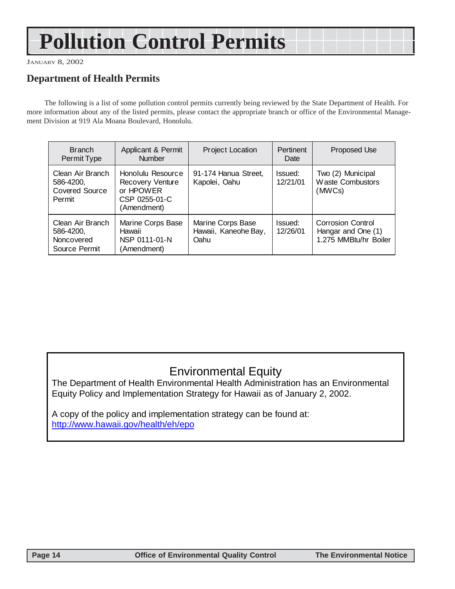## **Pollution Control Permits**

JANUARY 8, 2002

## **Department of Health Permits**

The following is a list of some pollution control permits currently being reviewed by the State Department of Health. For more information about any of the listed permits, please contact the appropriate branch or office of the Environmental Management Division at 919 Ala Moana Boulevard, Honolulu.

| <b>Branch</b><br>Permit Type                                     | Applicant & Permit<br><b>Number</b>                                                | <b>Project Location</b>                           | <b>Pertinent</b><br>Date | Proposed Use                                                            |
|------------------------------------------------------------------|------------------------------------------------------------------------------------|---------------------------------------------------|--------------------------|-------------------------------------------------------------------------|
| Clean Air Branch<br>586-4200,<br><b>Covered Source</b><br>Permit | Honolulu Resource<br>Recovery Venture<br>or HPOWER<br>CSP 0255-01-C<br>(Amendment) | 91-174 Hanua Street,<br>Kapolei, Oahu             | Issued:<br>12/21/01      | Two (2) Municipal<br><b>Waste Combustors</b><br>(MWCs)                  |
| Clean Air Branch<br>586-4200,<br>Noncovered<br>Source Permit     | Marine Corps Base<br>Hawaii<br>NSP 0111-01-N<br>(Amendment)                        | Marine Corps Base<br>Hawaii, Kaneohe Bay,<br>Oahu | Issued:<br>12/26/01      | <b>Corrosion Control</b><br>Hangar and One (1)<br>1.275 MMBtu/hr Boiler |

## Environmental Equity

The Department of Health Environmental Health Administration has an Environmental Equity Policy and Implementation Strategy for Hawaii as of January 2, 2002.

A copy of the policy and implementation strategy can be found at: http://www.hawaii.gov/health/eh/epo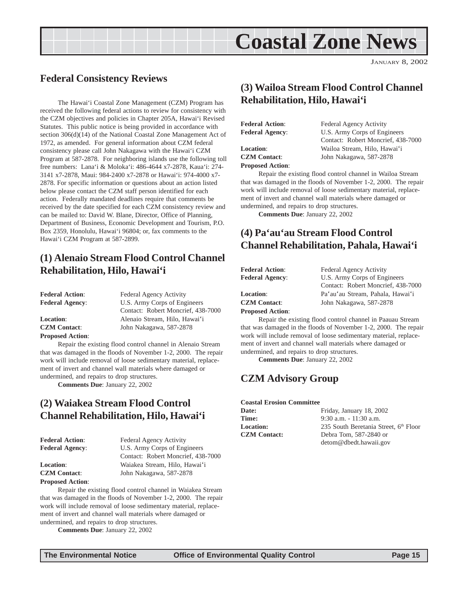## **Coastal Zone News**

JANUARY 8, 2002

## <span id="page-14-0"></span>**Federal Consistency Reviews**

The Hawai'i Coastal Zone Management (CZM) Program has received the following federal actions to review for consistency with the CZM objectives and policies in Chapter 205A, Hawai'i Revised Statutes. This public notice is being provided in accordance with section 306(d)(14) of the National Coastal Zone Management Act of 1972, as amended. For general information about CZM federal consistency please call John Nakagawa with the Hawai'i CZM Program at 587-2878. For neighboring islands use the following toll free numbers: Lana'i & Moloka'i: 486-4644 x7-2878, Kaua'i: 274- 3141 x7-2878, Maui: 984-2400 x7-2878 or Hawai'i: 974-4000 x7- 2878. For specific information or questions about an action listed below please contact the CZM staff person identified for each action. Federally mandated deadlines require that comments be received by the date specified for each CZM consistency review and can be mailed to: David W. Blane, Director, Office of Planning, Department of Business, Economic Development and Tourism, P.O. Box 2359, Honolulu, Hawai'i 96804; or, fax comments to the Hawai'i CZM Program at 587-2899.

## **(1) Alenaio Stream Flood Control Channel Rehabilitation, Hilo, Hawai'i**

| <b>Federal Action:</b>  | <b>Federal Agency Activity</b>     |  |
|-------------------------|------------------------------------|--|
| <b>Federal Agency:</b>  | U.S. Army Corps of Engineers       |  |
|                         | Contact: Robert Moncrief, 438-7000 |  |
| <b>Location:</b>        | Alenaio Stream, Hilo, Hawai'i      |  |
| <b>CZM Contact:</b>     | John Nakagawa, 587-2878            |  |
| <b>Proposed Action:</b> |                                    |  |

Repair the existing flood control channel in Alenaio Stream that was damaged in the floods of November 1-2, 2000. The repair work will include removal of loose sedimentary material, replacement of invert and channel wall materials where damaged or undermined, and repairs to drop structures.

**Comments Due**: January 22, 2002

## **(2) Waiakea Stream Flood Control Channel Rehabilitation, Hilo, Hawai'i**

| <b>Federal Action:</b> | Federal Agency Activity            |  |
|------------------------|------------------------------------|--|
| <b>Federal Agency:</b> | U.S. Army Corps of Engineers       |  |
|                        | Contact: Robert Moncrief, 438-7000 |  |
| <b>Location:</b>       | Waiakea Stream, Hilo, Hawai'i      |  |
| <b>CZM Contact:</b>    | John Nakagawa, 587-2878            |  |
|                        |                                    |  |

#### **Proposed Action**:

Repair the existing flood control channel in Waiakea Stream that was damaged in the floods of November 1-2, 2000. The repair work will include removal of loose sedimentary material, replacement of invert and channel wall materials where damaged or undermined, and repairs to drop structures.

**Comments Due**: January 22, 2002

## **(3) Wailoa Stream Flood Control Channel Rehabilitation, Hilo, Hawai'i**

| <b>Federal Action:</b>  | <b>Federal Agency Activity</b>     |
|-------------------------|------------------------------------|
| <b>Federal Agency:</b>  | U.S. Army Corps of Engineers       |
|                         | Contact: Robert Moncrief, 438-7000 |
| <b>Location:</b>        | Wailoa Stream, Hilo, Hawai'i       |
| <b>CZM</b> Contact:     | John Nakagawa, 587-2878            |
| <b>Proposed Action:</b> |                                    |

Repair the existing flood control channel in Wailoa Stream that was damaged in the floods of November 1-2, 2000. The repair work will include removal of loose sedimentary material, replacement of invert and channel wall materials where damaged or undermined, and repairs to drop structures.

**Comments Due**: January 22, 2002

## **(4) Pa'au'au Stream Flood Control Channel Rehabilitation, Pahala, Hawai'i**

| <b>Federal Action:</b>  | <b>Federal Agency Activity</b>     |  |
|-------------------------|------------------------------------|--|
| <b>Federal Agency:</b>  | U.S. Army Corps of Engineers       |  |
|                         | Contact: Robert Moncrief, 438-7000 |  |
| <b>Location:</b>        | Pa'au'au Stream, Pahala, Hawai'i   |  |
| <b>CZM</b> Contact:     | John Nakagawa, 587-2878            |  |
| <b>Proposed Action:</b> |                                    |  |

Repair the existing flood control channel in Paauau Stream that was damaged in the floods of November 1-2, 2000. The repair work will include removal of loose sedimentary material, replacement of invert and channel wall materials where damaged or undermined, and repairs to drop structures.

**Comments Due**: January 22, 2002

### **CZM Advisory Group**

#### **Coastal Erosion Committee**

| <b>Date:</b>        | Friday, January 18, 2002              |
|---------------------|---------------------------------------|
| <b>Time:</b>        | $9:30$ a.m. $-11:30$ a.m.             |
| <b>Location:</b>    | 235 South Beretania Street, 6th Floor |
| <b>CZM Contact:</b> | Debra Tom, 587-2840 or                |
|                     | detom@dbedt.hawaii.gov                |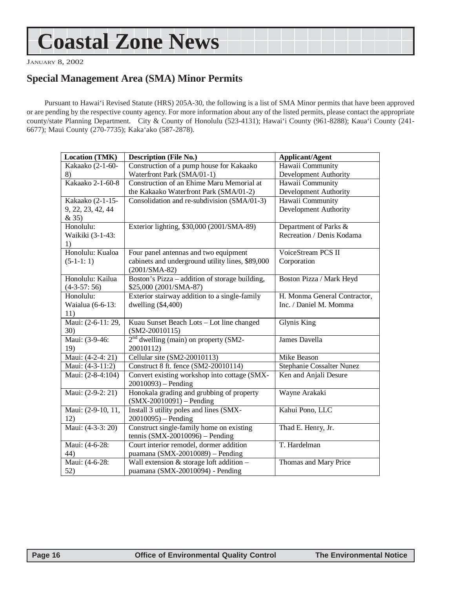## <span id="page-15-0"></span>**Coastal Zone News**

JANUARY 8, 2002

## **Special Management Area (SMA) Minor Permits**

Pursuant to Hawai'i Revised Statute (HRS) 205A-30, the following is a list of SMA Minor permits that have been approved or are pending by the respective county agency. For more information about any of the listed permits, please contact the appropriate county/state Planning Department. City & County of Honolulu (523-4131); Hawai'i County (961-8288); Kaua'i County (241- 6677); Maui County (270-7735); Kaka'ako (587-2878).

| <b>Location (TMK)</b> | <b>Description (File No.)</b>                    | <b>Applicant/Agent</b>       |
|-----------------------|--------------------------------------------------|------------------------------|
| Kakaako (2-1-60-      | Construction of a pump house for Kakaako         | Hawaii Community             |
| 8)                    | Waterfront Park (SMA/01-1)                       | Development Authority        |
| Kakaako 2-1-60-8      | Construction of an Ehime Maru Memorial at        | Hawaii Community             |
|                       | the Kakaako Waterfront Park (SMA/01-2)           | Development Authority        |
| Kakaako (2-1-15-      | Consolidation and re-subdivision (SMA/01-3)      | Hawaii Community             |
| 9, 22, 23, 42, 44     |                                                  | Development Authority        |
| & 35)                 |                                                  |                              |
| Honolulu:             | Exterior lighting, \$30,000 (2001/SMA-89)        | Department of Parks &        |
| Waikiki (3-1-43:      |                                                  | Recreation / Denis Kodama    |
| 1)                    |                                                  |                              |
| Honolulu: Kualoa      | Four panel antennas and two equipment            | VoiceStream PCS II           |
| $(5-1-1:1)$           | cabinets and underground utility lines, \$89,000 | Corporation                  |
|                       | $(2001/SMA-82)$                                  |                              |
| Honolulu: Kailua      | Boston's Pizza - addition of storage building,   | Boston Pizza / Mark Heyd     |
| $(4-3-57:56)$         | \$25,000 (2001/SMA-87)                           |                              |
| Honolulu:             | Exterior stairway addition to a single-family    | H. Monma General Contractor, |
| Waialua (6-6-13:      | dwelling $(\$4,400)$                             | Inc. / Daniel M. Momma       |
| 11)                   |                                                  |                              |
| Maui: (2-6-11: 29,    | Kuau Sunset Beach Lots - Lot line changed        | <b>Glynis King</b>           |
| 30)                   | $(SM2-20010115)$                                 |                              |
| Maui: (3-9-46:        | $2nd$ dwelling (main) on property (SM2-          | James Davella                |
| 19)                   | 20010112)                                        |                              |
| Maui: (4-2-4: 21)     | Cellular site (SM2-20010113)                     | Mike Beason                  |
| Maui: (4-3-11:2)      | Construct 8 ft. fence (SM2-20010114)             | Stephanie Cossalter Nunez    |
| Maui: (2-8-4:104)     | Convert existing workshop into cottage (SMX-     | Ken and Anjali Desure        |
|                       | $20010093$ – Pending                             |                              |
| Maui: (2-9-2: 21)     | Honokala grading and grubbing of property        | Wayne Arakaki                |
|                       | $(SMX-20010091) - Pending$                       |                              |
| Maui: (2-9-10, 11,    | Install 3 utility poles and lines (SMX-          | Kahui Pono, LLC              |
| 12)                   | $20010095$ ) – Pending                           |                              |
| Maui: (4-3-3: 20)     | Construct single-family home on existing         | Thad E. Henry, Jr.           |
|                       | tennis (SMX-20010096) - Pending                  |                              |
| Maui: (4-6-28:        | Court interior remodel, dormer addition          | T. Hardelman                 |
| 44)                   | puamana (SMX-20010089) - Pending                 |                              |
| Maui: (4-6-28:        | Wall extension $&$ storage loft addition $-$     | Thomas and Mary Price        |
| 52)                   | puamana (SMX-20010094) - Pending                 |                              |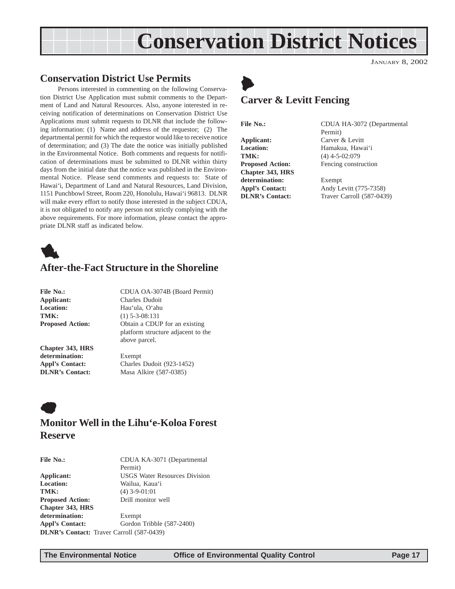## **Conservation District Notices**

#### <span id="page-16-0"></span>**Conservation District Use Permits**

Persons interested in commenting on the following Conservation District Use Application must submit comments to the Department of Land and Natural Resources. Also, anyone interested in receiving notification of determinations on Conservation District Use Applications must submit requests to DLNR that include the following information: (1) Name and address of the requestor; (2) The departmental permit for which the requestor would like to receive notice of determination; and (3) The date the notice was initially published in the Environmental Notice. Both comments and requests for notification of determinations must be submitted to DLNR within thirty days from the initial date that the notice was published in the Environmental Notice. Please send comments and requests to: State of Hawai'i, Department of Land and Natural Resources, Land Division, 1151 Punchbowl Street, Room 220, Honolulu, Hawai'i 96813. DLNR will make every effort to notify those interested in the subject CDUA, it is not obligated to notify any person not strictly complying with the above requirements. For more information, please contact the appropriate DLNR staff as indicated below.



### **After-the-Fact Structure in the Shoreline**

| File No.:              |
|------------------------|
| Applicant:             |
| <b>Location:</b>       |
| TMK:                   |
| <b>Proposed Action</b> |

**File No.:** CDUA OA-3074B (Board Permit) **Applicant:** Charles Dudoit **Location:** Hau'ula, O'ahu **TMK:** (1) 5-3-08:131 **Propose** Obtain a CDUP for an existing platform structure adjacent to the above parcel.

**Chapter 343, HRS determination:** Exempt

**Appl's Contact:** Charles Dudoit (923-1452) **DLNR's Contact:** Masa Alkire (587-0385)

## $\bullet$ **Monitor Well in the Lihu'e-Koloa Forest Reserve**

| <b>File No.:</b>                                 | CDUA KA-3071 (Departmental           |
|--------------------------------------------------|--------------------------------------|
|                                                  | Permit)                              |
| Applicant:                                       | <b>USGS Water Resources Division</b> |
| <b>Location:</b>                                 | Wailua, Kaua'i                       |
| TMK:                                             | $(4)$ 3-9-01:01                      |
| <b>Proposed Action:</b>                          | Drill monitor well                   |
| <b>Chapter 343, HRS</b>                          |                                      |
| determination:                                   | Exempt                               |
| <b>Appl's Contact:</b>                           | Gordon Tribble (587-2400)            |
| <b>DLNR's Contact:</b> Traver Carroll (587-0439) |                                      |



JANUARY 8, 2002

## **Carver & Levitt Fencing**

 $\blacktriangleright$ 

**Applicant:** Carver & Levitt Location: Hamakua, Hawai'i **TMK:** (4) 4-5-02:079<br>**Proposed Action:** Fencing constr **Chapter 343, HRS determination:** Exempt

File No.: CDUA HA-3072 (Departmental Permit) Fencing construction

**Appl's Contact:** Andy Levitt (775-7358) **DLNR's Contact:** Traver Carroll (587-0439)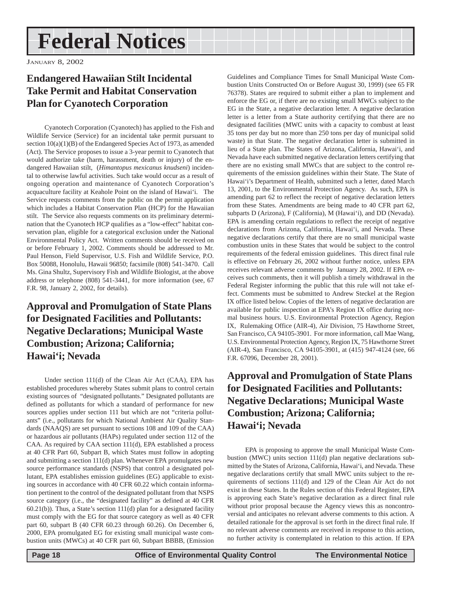## <span id="page-17-0"></span>**Federal Notices**

JANUARY 8, 2002

## **Endangered Hawaiian Stilt Incidental Take Permit and Habitat Conservation Plan for Cyanotech Corporation**

Cyanotech Corporation (Cyanotech) has applied to the Fish and Wildlife Service (Service) for an incidental take permit pursuant to section  $10(a)(1)(B)$  of the Endangered Species Act of 1973, as amended (Act). The Service proposes to issue a 3-year permit to Cyanotech that would authorize take (harm, harassment, death or injury) of the endangered Hawaiian stilt, (*Himantopus mexicanus knudseni*) incidental to otherwise lawful activities. Such take would occur as a result of ongoing operation and maintenance of Cyanotech Corporation's acquaculture facility at Keahole Point on the island of Hawai'i. The Service requests comments from the public on the permit application which includes a Habitat Conservation Plan (HCP) for the Hawaiian stilt. The Service also requests comments on its preliminary determination that the Cyanotech HCP qualifies as a "low-effect" habitat conservation plan, eligible for a categorical exclusion under the National Environmental Policy Act. Written comments should be received on or before February 1, 2002. Comments should be addressed to Mr. Paul Henson, Field Supervisor, U.S. Fish and Wildlife Service, P.O. Box 50088, Honolulu, Hawaii 96850; facsimile (808) 541-3470. Call Ms. Gina Shultz, Supervisory Fish and Wildlife Biologist, at the above address or telephone (808) 541-3441, for more information (see, 67 F.R. 98, January 2, 2002, for details).

## **Approval and Promulgation of State Plans for Designated Facilities and Pollutants: Negative Declarations; Municipal Waste Combustion; Arizona; California; Hawai'i; Nevada**

Under section 111(d) of the Clean Air Act (CAA), EPA has established procedures whereby States submit plans to control certain existing sources of "designated pollutants." Designated pollutants are defined as pollutants for which a standard of performance for new sources applies under section 111 but which are not "criteria pollutants" (i.e., pollutants for which National Ambient Air Quality Standards (NAAQS) are set pursuant to sections 108 and 109 of the CAA) or hazardous air pollutants (HAPs) regulated under section 112 of the CAA. As required by CAA section 111(d), EPA established a process at 40 CFR Part 60, Subpart B, which States must follow in adopting and submitting a section 111(d) plan. Whenever EPA promulgates new source performance standards (NSPS) that control a designated pollutant, EPA establishes emission guidelines (EG) applicable to existing sources in accordance with 40 CFR 60.22 which contain information pertinent to the control of the designated pollutant from that NSPS source category (i.e., the "designated facility" as defined at 40 CFR  $60.21(b)$ ). Thus, a State's section 111(d) plan for a designated facility must comply with the EG for that source category as well as 40 CFR part 60, subpart B (40 CFR 60.23 through 60.26). On December 6, 2000, EPA promulgated EG for existing small municipal waste combustion units (MWCs) at 40 CFR part 60, Subpart BBBB, (Emission

Guidelines and Compliance Times for Small Municipal Waste Combustion Units Constructed On or Before August 30, 1999) (see 65 FR 76378). States are required to submit either a plan to implement and enforce the EG or, if there are no existing small MWCs subject to the EG in the State, a negative declaration letter. A negative declaration letter is a letter from a State authority certifying that there are no designated facilities (MWC units with a capacity to combust at least 35 tons per day but no more than 250 tons per day of municipal solid waste) in that State. The negative declaration letter is submitted in lieu of a State plan. The States of Arizona, California, Hawai'i, and Nevada have each submitted negative declaration letters certifying that there are no existing small MWCs that are subject to the control requirements of the emission guidelines within their State. The State of Hawai'i's Department of Health, submitted such a letter, dated March 13, 2001, to the Environmental Protection Agency. As such, EPA is amending part 62 to reflect the receipt of negative declaration letters from these States. Amendments are being made to 40 CFR part 62, subparts D (Arizona), F (California), M (Hawai'i), and DD (Nevada). EPA is amending certain regulations to reflect the receipt of negative declarations from Arizona, California, Hawai'i, and Nevada. These negative declarations certify that there are no small municipal waste combustion units in these States that would be subject to the control requirements of the federal emission guidelines. This direct final rule is effective on February 26, 2002 without further notice, unless EPA receives relevant adverse comments by January 28, 2002. If EPA receives such comments, then it will publish a timely withdrawal in the Federal Register informing the public that this rule will not take effect. Comments must be submitted to Andrew Steckel at the Region IX office listed below. Copies of the letters of negative declaration are available for public inspection at EPA's Region IX office during normal business hours. U.S. Environmental Protection Agency, Region IX, Rulemaking Office (AIR-4), Air Division, 75 Hawthorne Street, San Francisco, CA 94105-3901. For more information, call Mae Wang, U.S. Environmental Protection Agency, Region IX, 75 Hawthorne Street (AIR-4), San Francisco, CA 94105-3901, at (415) 947-4124 (see, 66 F.R. 67096, December 28, 2001).

## **Approval and Promulgation of State Plans for Designated Facilities and Pollutants: Negative Declarations; Municipal Waste Combustion; Arizona; California; Hawai'i; Nevada**

EPA is proposing to approve the small Municipal Waste Combustion (MWC) units section 111(d) plan negative declarations submitted by the States of Arizona, California, Hawai'i, and Nevada. These negative declarations certify that small MWC units subject to the requirements of sections 111(d) and 129 of the Clean Air Act do not exist in these States. In the Rules section of this Federal Register, EPA is approving each State's negative declaration as a direct final rule without prior proposal because the Agency views this as noncontroversial and anticipates no relevant adverse comments to this action. A detailed rationale for the approval is set forth in the direct final rule. If no relevant adverse comments are received in response to this action, no further activity is contemplated in relation to this action. If EPA